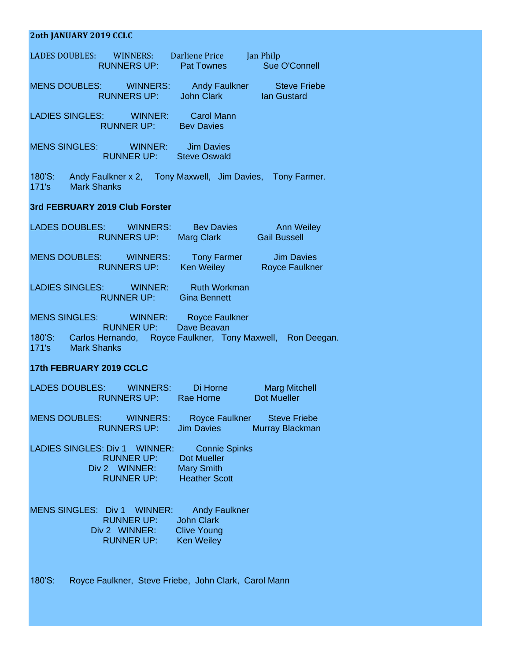## **2oth JANUARY 2019 CCLC**

| LADES DOUBLES: WINNERS: Darliene Price Jan Philp<br><b>Example 20 RUNNERS UP:</b> Pat Townes Sue O'Connell                                                                          |
|-------------------------------------------------------------------------------------------------------------------------------------------------------------------------------------|
| MENS DOUBLES: WINNERS: Andy Faulkner Steve Friebe<br>RUNNERS UP: John Clark lan Gustard                                                                                             |
| LADIES SINGLES: WINNER: Carol Mann<br><b>Example 20 RUNNER UP:</b> Bev Davies                                                                                                       |
| MENS SINGLES: WINNER: Jim Davies<br><b>Example 20 RUNNER UP:</b> Steve Oswald                                                                                                       |
| 180'S: Andy Faulkner x 2, Tony Maxwell, Jim Davies, Tony Farmer.<br>171's Mark Shanks                                                                                               |
| 3rd FEBRUARY 2019 Club Forster                                                                                                                                                      |
| LADES DOUBLES: WINNERS: Bev Davies Ann Weiley<br>RUNNERS UP: Marg Clark Gail Bussell                                                                                                |
| MENS DOUBLES: WINNERS: Tony Farmer Jim Davies<br>RUNNERS UP: Ken Weiley Royce Faulkner                                                                                              |
| LADIES SINGLES: WINNER: Ruth Workman<br>RUNNER UP: Gina Bennett                                                                                                                     |
| MENS SINGLES: WINNER: Royce Faulkner                                                                                                                                                |
| <b>RUNNER UP:</b> Dave Beavan<br>180'S: Carlos Hernando, Royce Faulkner, Tony Maxwell, Ron Deegan.<br>171's Mark Shanks                                                             |
| 17th FEBRUARY 2019 CCLC                                                                                                                                                             |
| LADES DOUBLES: WINNERS: Di Horne Marg Mitchell<br>RUNNERS UP: Rae Horne Dot Mueller                                                                                                 |
| MENS DOUBLES: WINNERS: Royce Faulkner Steve Friebe<br><b>RUNNERS UP:</b><br>Murray Blackman<br><b>Jim Davies</b>                                                                    |
| LADIES SINGLES: Div 1 WINNER:<br><b>Connie Spinks</b><br><b>RUNNER UP:</b><br><b>Dot Mueller</b><br><b>Mary Smith</b><br>Div 2 WINNER:<br><b>Heather Scott</b><br><b>RUNNER UP:</b> |
| MENS SINGLES: Div 1 WINNER:<br><b>Andy Faulkner</b><br><b>RUNNER UP:</b><br><b>John Clark</b><br><b>Clive Young</b><br>Div 2 WINNER:<br><b>Ken Weiley</b><br><b>RUNNER UP:</b>      |

180'S: Royce Faulkner, Steve Friebe, John Clark, Carol Mann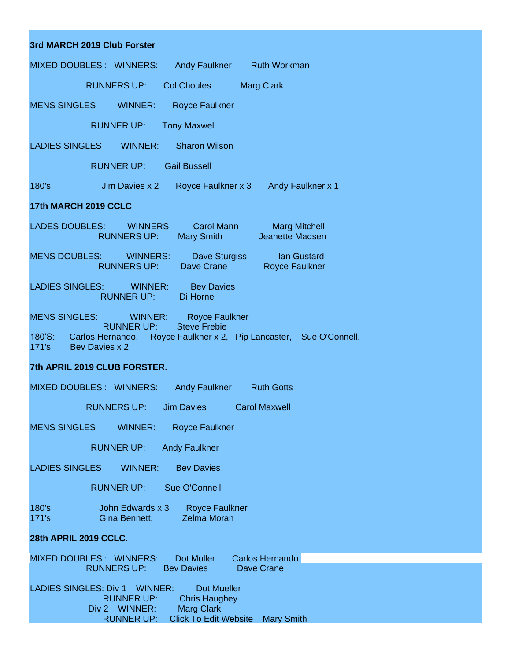| 3rd MARCH 2019 Club Forster                                                                                                                                                                               |
|-----------------------------------------------------------------------------------------------------------------------------------------------------------------------------------------------------------|
| MIXED DOUBLES : WINNERS:<br>Andy Faulkner Ruth Workman                                                                                                                                                    |
| <b>RUNNERS UP:</b><br><b>Col Choules</b><br><b>Marg Clark</b>                                                                                                                                             |
| MENS SINGLES WINNER:<br><b>Royce Faulkner</b>                                                                                                                                                             |
| RUNNER UP:<br><b>Tony Maxwell</b>                                                                                                                                                                         |
| LADIES SINGLES WINNER:<br><b>Sharon Wilson</b>                                                                                                                                                            |
| <b>RUNNER UP:</b><br><b>Gail Bussell</b>                                                                                                                                                                  |
| Jim Davies x 2<br>180's<br>Royce Faulkner x 3 Andy Faulkner x 1                                                                                                                                           |
| 17th MARCH 2019 CCLC                                                                                                                                                                                      |
| LADES DOUBLES: WINNERS:<br>Carol Mann<br><b>Marg Mitchell</b><br>Mary Smith Jeanette Madsen<br><b>RUNNERS UP:</b>                                                                                         |
| MENS DOUBLES: WINNERS:<br>Dave Sturgiss <b>Dave</b><br>lan Gustard<br>RUNNERS UP: Dave Crane<br><b>Royce Faulkner</b>                                                                                     |
| LADIES SINGLES: WINNER:<br><b>Bev Davies</b><br>RUNNER UP: Di Horne                                                                                                                                       |
| <b>MENS SINGLES:</b><br>WINNER:<br><b>Royce Faulkner</b><br><b>Steve Frebie</b><br><b>RUNNER UP:</b><br>180'S: Carlos Hernando, Royce Faulkner x 2, Pip Lancaster, Sue O'Connell.<br>171's Bev Davies x 2 |
| 7th APRIL 2019 CLUB FORSTER.                                                                                                                                                                              |
| MIXED DOUBLES : WINNERS:<br>Andy Faulkner Ruth Gotts                                                                                                                                                      |
| <b>Jim Davies</b><br><b>Carol Maxwell</b><br><b>RUNNERS UP:</b>                                                                                                                                           |
| <b>MENS SINGLES</b><br><b>Royce Faulkner</b><br>WINNER:                                                                                                                                                   |
| <b>RUNNER UP:</b><br><b>Andy Faulkner</b>                                                                                                                                                                 |
| <b>LADIES SINGLES</b><br>WINNER:<br><b>Bev Davies</b>                                                                                                                                                     |
| <b>RUNNER UP:</b><br>Sue O'Connell                                                                                                                                                                        |
| 180's<br>John Edwards x 3<br><b>Royce Faulkner</b><br><b>Zelma Moran</b><br>171's<br>Gina Bennett,                                                                                                        |
| 28th APRIL 2019 CCLC.                                                                                                                                                                                     |
| MIXED DOUBLES : WINNERS:<br>Dot Muller<br>Carlos Hernando<br><b>RUNNERS UP:</b><br><b>Bev Davies</b><br>Dave Crane                                                                                        |
| <b>Dot Mueller</b><br>LADIES SINGLES: Div 1<br>WINNER:<br><b>RUNNER UP:</b><br><b>Chris Haughey</b><br>Div 2 WINNER:<br><b>Marg Clark</b><br><b>RUNNER UP:</b><br><b>Click To Edit Website Mary Smith</b> |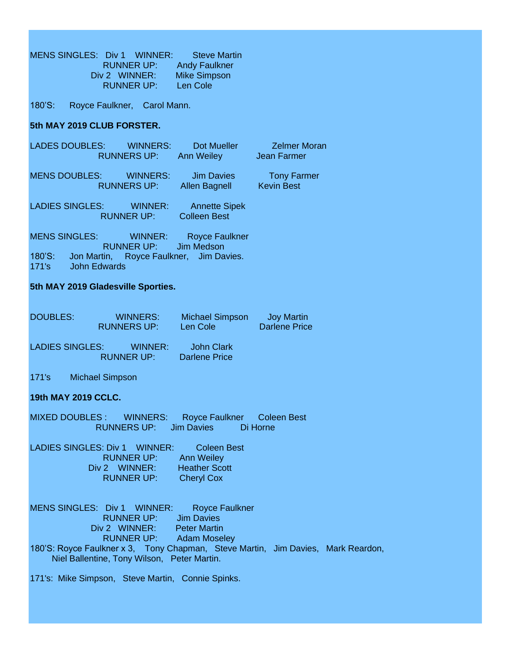MENS SINGLES: Div 1 WINNER: Steve Martin RUNNER UP: Andy Faulkner Div 2 WINNER: Mike Simpson RUNNER UP: Len Cole

180'S: Royce Faulkner, Carol Mann.

## **5th MAY 2019 CLUB FORSTER.**

|                        | LADES DOUBLES: WINNERS:<br><b>RUNNERS UP:</b> | Dot Mueller<br>Ann Weiley                   | <b>Zelmer Moran</b><br>Jean Farmer      |
|------------------------|-----------------------------------------------|---------------------------------------------|-----------------------------------------|
|                        | MENS DOUBLES: WINNERS:<br><b>RUNNERS UP:</b>  | Jim Davies<br><b>Allen Bagnell</b>          | <b>Tony Farmer</b><br><b>Kevin Best</b> |
| <b>LADIES SINGLES:</b> | WINNER:<br><b>RUNNER UP:</b>                  | <b>Annette Sipek</b><br><b>Colleen Best</b> |                                         |
| <b>MENS SINGLES:</b>   | WINNER:<br>RUNNER UP: Jim Medson              | <b>Royce Faulkner</b>                       |                                         |
| 180'S:<br>171's        | Jon Martin,<br><b>John Edwards</b>            | Royce Faulkner, Jim Davies.                 |                                         |

## **5th MAY 2019 Gladesville Sporties.**

| <b>DOUBLES:</b>        | WINNERS:           |                              | <b>Michael Simpson</b>             | Joy Martin    |
|------------------------|--------------------|------------------------------|------------------------------------|---------------|
|                        | <b>RUNNERS UP:</b> |                              | Len Cole                           | Darlene Price |
| <b>LADIES SINGLES:</b> |                    | WINNER:<br><b>RUNNER UP:</b> | John Clark<br><b>Darlene Price</b> |               |

171's Michael Simpson

## **19th MAY 2019 CCLC.**

MIXED DOUBLES : WINNERS: Royce Faulkner Coleen Best RUNNERS UP: Jim Davies Di Horne

LADIES SINGLES: Div 1 WINNER: Coleen Best RUNNER UP: Ann Weiley<br>2 WINNER: Heather Scott Div 2 WINNER: RUNNER UP: Cheryl Cox

MENS SINGLES: Div 1 WINNER: Royce Faulkner RUNNER UP: Jim Davies Div 2 WINNER: Peter Martin RUNNER UP: Adam Moseley 180'S: Royce Faulkner x 3, Tony Chapman, Steve Martin, Jim Davies, Mark Reardon, Niel Ballentine, Tony Wilson, Peter Martin.

171's: Mike Simpson, Steve Martin, Connie Spinks.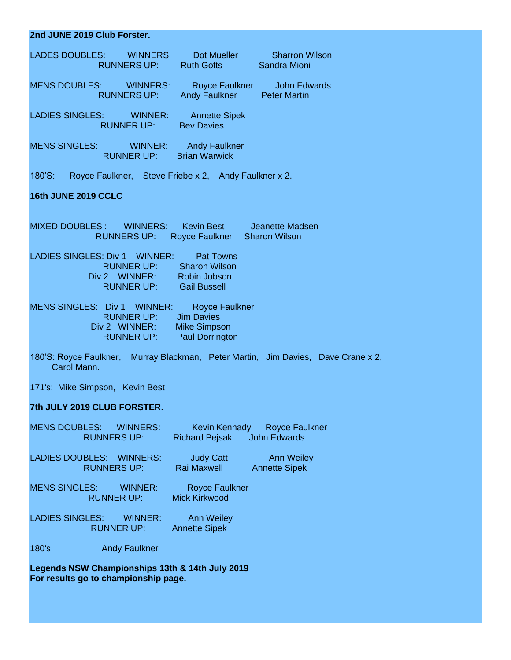| 2nd JUNE 2019 Club Forster.                                                                                                                                    |
|----------------------------------------------------------------------------------------------------------------------------------------------------------------|
| LADES DOUBLES: WINNERS:<br>S: WINNERS: Dot Mueller Sharron W<br>RUNNERS UP: Ruth Gotts Sandra Mioni<br><b>Sharron Wilson</b>                                   |
| MENS DOUBLES: WINNERS:<br>Royce Faulkner John Edwards<br>RUNNERS UP: Andy Faulkner Peter Martin                                                                |
| LADIES SINGLES: WINNER: Annette Sipek<br><b>RUNNER UP:</b> Bev Davies                                                                                          |
| MENS SINGLES: WINNER: Andy Faulkner<br><b>RUNNER UP:</b> Brian Warwick                                                                                         |
| 180'S: Royce Faulkner, Steve Friebe x 2, Andy Faulkner x 2.                                                                                                    |
| 16th JUNE 2019 CCLC                                                                                                                                            |
| MIXED DOUBLES: WINNERS: Kevin Best Jeanette Madsen<br>RUNNERS UP: Royce Faulkner Sharon Wilson                                                                 |
| LADIES SINGLES: Div 1 WINNER: Pat Towns<br>RUNNER UP: Sharon Wilson<br>Div 2 WINNER: Robin Jobson<br><b>RUNNER UP:</b> Gail Bussell                            |
| MENS SINGLES: Div 1 WINNER: Royce Faulkner<br>RUNNER UP: Jim Davies<br>Div 2 WINNER: Mike Simpson<br><b>RUNNER UP:</b> Paul Dorrington                         |
| 180'S: Royce Faulkner, Murray Blackman, Peter Martin, Jim Davies, Dave Crane x 2,<br>Carol Mann.                                                               |
| 171's: Mike Simpson, Kevin Best                                                                                                                                |
| 7th JULY 2019 CLUB FORSTER.                                                                                                                                    |
| <b>MENS DOUBLES:</b><br><b>WINNERS:</b><br><b>Royce Faulkner</b><br><b>Kevin Kennady</b><br><b>John Edwards</b><br><b>RUNNERS UP:</b><br><b>Richard Pejsak</b> |
| <b>LADIES DOUBLES:</b><br><b>WINNERS:</b><br><b>Judy Catt</b><br><b>Ann Weiley</b><br><b>Rai Maxwell</b><br><b>RUNNERS UP:</b><br><b>Annette Sipek</b>         |
| <b>MENS SINGLES:</b><br><b>WINNER:</b><br><b>Royce Faulkner</b><br><b>Mick Kirkwood</b><br><b>RUNNER UP:</b>                                                   |
| <b>LADIES SINGLES:</b><br><b>WINNER:</b><br><b>Ann Weiley</b><br><b>RUNNER UP:</b><br><b>Annette Sipek</b>                                                     |

180's Andy Faulkner

**Legends NSW Championships 13th & 14th July 2019 For results go to championship page.**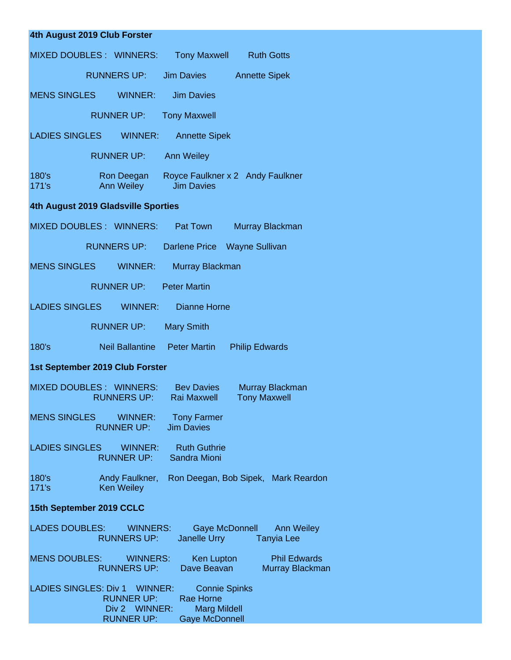| 4th August 2019 Club Forster                                                                                                                                                  |
|-------------------------------------------------------------------------------------------------------------------------------------------------------------------------------|
| <b>MIXED DOUBLES: WINNERS:</b><br><b>Tony Maxwell</b> Ruth Gotts                                                                                                              |
| <b>RUNNERS UP:</b><br><b>Jim Davies</b><br><b>Annette Sipek</b>                                                                                                               |
| <b>MENS SINGLES</b><br><b>WINNER:</b><br><b>Jim Davies</b>                                                                                                                    |
| <b>RUNNER UP:</b><br><b>Tony Maxwell</b>                                                                                                                                      |
| <b>LADIES SINGLES</b><br>WINNER:<br><b>Annette Sipek</b>                                                                                                                      |
| <b>RUNNER UP:</b><br><b>Ann Weiley</b>                                                                                                                                        |
| 180's<br>Royce Faulkner x 2 Andy Faulkner<br>Ron Deegan<br>Ann Weiley<br><b>Jim Davies</b><br>171's                                                                           |
| 4th August 2019 Gladsville Sporties                                                                                                                                           |
| MIXED DOUBLES: WINNERS:<br>Pat Town<br>Murray Blackman                                                                                                                        |
| <b>RUNNERS UP:</b><br>Darlene Price Wayne Sullivan                                                                                                                            |
| <b>MENS SINGLES</b><br><b>WINNER:</b><br>Murray Blackman                                                                                                                      |
| <b>RUNNER UP:</b><br><b>Peter Martin</b>                                                                                                                                      |
| <b>LADIES SINGLES</b><br>WINNER:<br>Dianne Horne                                                                                                                              |
| <b>RUNNER UP:</b><br><b>Mary Smith</b>                                                                                                                                        |
| 180's<br>Neil Ballantine Peter Martin<br><b>Philip Edwards</b>                                                                                                                |
| 1st September 2019 Club Forster                                                                                                                                               |
| MIXED DOUBLES : WINNERS:<br><b>Bey Davies</b><br>Murray Blackman<br><b>RUNNERS UP:</b><br><b>Rai Maxwell</b><br><b>Tony Maxwell</b>                                           |
| <b>MENS SINGLES WINNER:</b><br><b>Tony Farmer</b><br><b>Jim Davies</b><br><b>RUNNER UP:</b>                                                                                   |
| LADIES SINGLES WINNER:<br><b>Ruth Guthrie</b><br>Sandra Mioni<br>RUNNER UP:                                                                                                   |
| Andy Faulkner, Ron Deegan, Bob Sipek, Mark Reardon<br>180's<br><b>Ken Weiley</b><br>171's                                                                                     |
| 15th September 2019 CCLC                                                                                                                                                      |
| <b>LADES DOUBLES:</b><br><b>WINNERS:</b><br>Gaye McDonnell Ann Weiley<br>Janelle Urry <b>State</b><br><b>RUNNERS UP:</b><br><b>Tanyia Lee</b>                                 |
| <b>MENS DOUBLES: WINNERS:</b><br>Ken Lupton Phil Edwards<br><b>RUNNERS UP:</b><br>Dave Beavan<br>Murray Blackman                                                              |
| LADIES SINGLES: Div 1 WINNER:<br><b>Connie Spinks</b><br><b>RUNNER UP:</b><br>Rae Horne<br>Div 2 WINNER:<br><b>Marg Mildell</b><br><b>Gaye McDonnell</b><br><b>RUNNER UP:</b> |
|                                                                                                                                                                               |